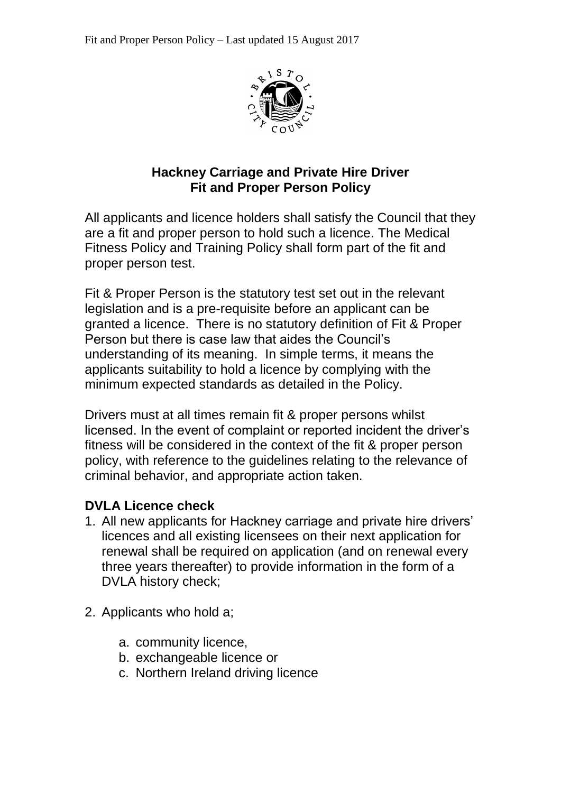

### **Hackney Carriage and Private Hire Driver Fit and Proper Person Policy**

All applicants and licence holders shall satisfy the Council that they are a fit and proper person to hold such a licence. The Medical Fitness Policy and Training Policy shall form part of the fit and proper person test.

Fit & Proper Person is the statutory test set out in the relevant legislation and is a pre-requisite before an applicant can be granted a licence. There is no statutory definition of Fit & Proper Person but there is case law that aides the Council's understanding of its meaning. In simple terms, it means the applicants suitability to hold a licence by complying with the minimum expected standards as detailed in the Policy.

Drivers must at all times remain fit & proper persons whilst licensed. In the event of complaint or reported incident the driver's fitness will be considered in the context of the fit & proper person policy, with reference to the guidelines relating to the relevance of criminal behavior, and appropriate action taken.

## **DVLA Licence check**

- 1. All new applicants for Hackney carriage and private hire drivers' licences and all existing licensees on their next application for renewal shall be required on application (and on renewal every three years thereafter) to provide information in the form of a DVLA history check;
- 2. Applicants who hold a;
	- a. community licence,
	- b. exchangeable licence or
	- c. Northern Ireland driving licence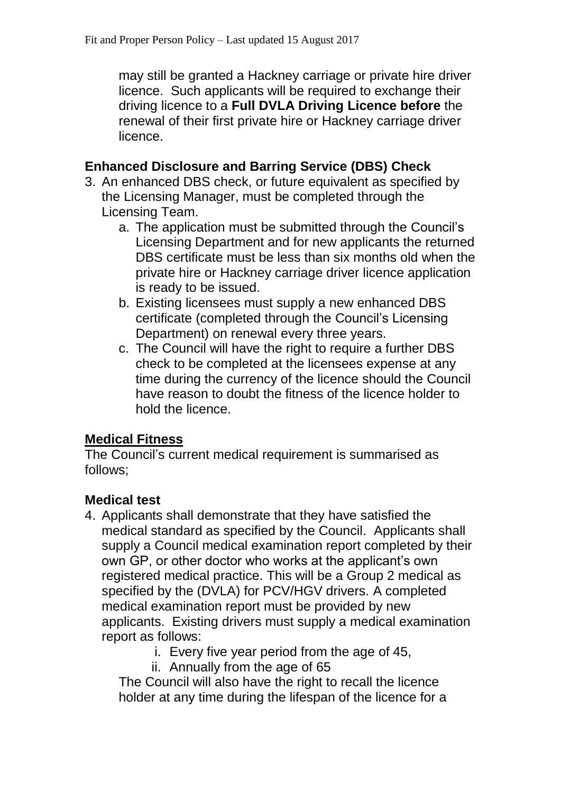may still be granted a Hackney carriage or private hire driver licence. Such applicants will be required to exchange their driving licence to a **Full DVLA Driving Licence before** the renewal of their first private hire or Hackney carriage driver licence.

## **Enhanced Disclosure and Barring Service (DBS) Check**

- 3. An enhanced DBS check, or future equivalent as specified by the Licensing Manager, must be completed through the Licensing Team.
	- a. The application must be submitted through the Council's Licensing Department and for new applicants the returned DBS certificate must be less than six months old when the private hire or Hackney carriage driver licence application is ready to be issued.
	- b. Existing licensees must supply a new enhanced DBS certificate (completed through the Council's Licensing Department) on renewal every three years.
	- c. The Council will have the right to require a further DBS check to be completed at the licensees expense at any time during the currency of the licence should the Council have reason to doubt the fitness of the licence holder to hold the licence.

## **Medical Fitness**

The Council's current medical requirement is summarised as follows;

# **Medical test**

- 4. Applicants shall demonstrate that they have satisfied the medical standard as specified by the Council. Applicants shall supply a Council medical examination report completed by their own GP, or other doctor who works at the applicant's own registered medical practice. This will be a Group 2 medical as specified by the (DVLA) for PCV/HGV drivers. A completed medical examination report must be provided by new applicants. Existing drivers must supply a medical examination report as follows:
	- i. Every five year period from the age of 45,
	- ii. Annually from the age of 65

The Council will also have the right to recall the licence holder at any time during the lifespan of the licence for a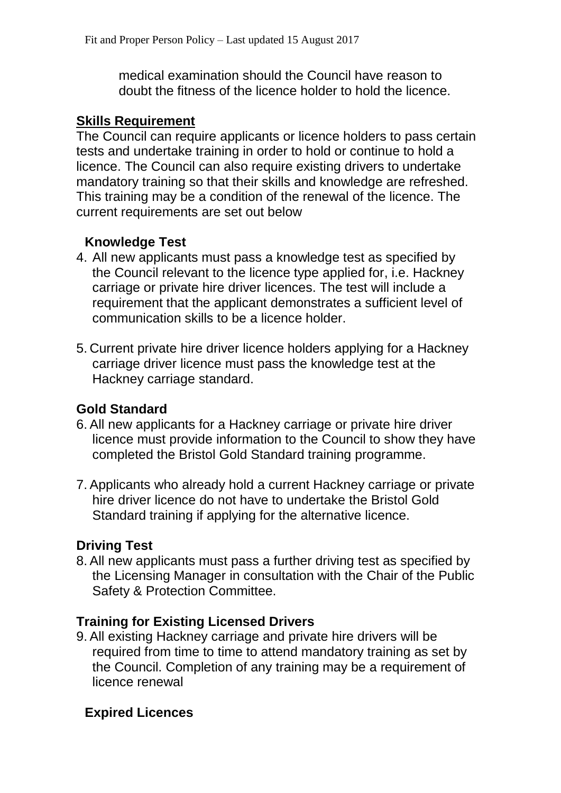medical examination should the Council have reason to doubt the fitness of the licence holder to hold the licence.

### **Skills Requirement**

The Council can require applicants or licence holders to pass certain tests and undertake training in order to hold or continue to hold a licence. The Council can also require existing drivers to undertake mandatory training so that their skills and knowledge are refreshed. This training may be a condition of the renewal of the licence. The current requirements are set out below

## **Knowledge Test**

- 4. All new applicants must pass a knowledge test as specified by the Council relevant to the licence type applied for, i.e. Hackney carriage or private hire driver licences. The test will include a requirement that the applicant demonstrates a sufficient level of communication skills to be a licence holder.
- 5. Current private hire driver licence holders applying for a Hackney carriage driver licence must pass the knowledge test at the Hackney carriage standard.

## **Gold Standard**

- 6. All new applicants for a Hackney carriage or private hire driver licence must provide information to the Council to show they have completed the Bristol Gold Standard training programme.
- 7. Applicants who already hold a current Hackney carriage or private hire driver licence do not have to undertake the Bristol Gold Standard training if applying for the alternative licence.

## **Driving Test**

8. All new applicants must pass a further driving test as specified by the Licensing Manager in consultation with the Chair of the Public Safety & Protection Committee.

## **Training for Existing Licensed Drivers**

9. All existing Hackney carriage and private hire drivers will be required from time to time to attend mandatory training as set by the Council. Completion of any training may be a requirement of licence renewal

## **Expired Licences**